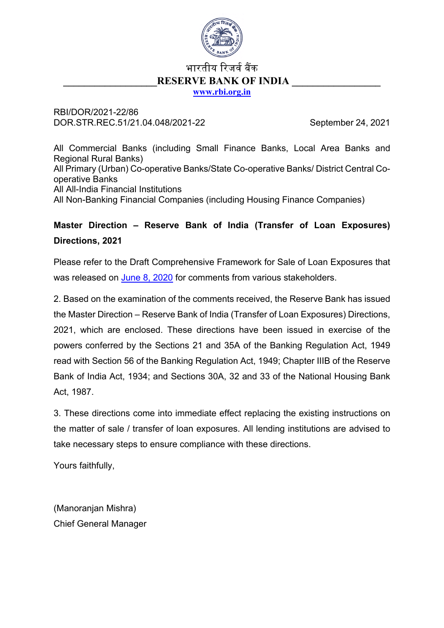

# भारतीय रिजर्व बैंक **RESERVE BANK OF INDIA [www.rbi.org.in](http://www.rbi.org.in/)**

RBI/DOR/2021-22/86 DOR.STR.REC.51/21.04.048/2021-22 September 24, 2021

All Commercial Banks (including Small Finance Banks, Local Area Banks and Regional Rural Banks) All Primary (Urban) Co-operative Banks/State Co-operative Banks/ District Central Cooperative Banks All All-India Financial Institutions All Non-Banking Financial Companies (including Housing Finance Companies)

# **Master Direction – Reserve Bank of India (Transfer of Loan Exposures) Directions, 2021**

Please refer to the Draft Comprehensive Framework for Sale of Loan Exposures that was released on [June 8, 2020](https://www.rbi.org.in/Scripts/BS_PressReleaseDisplay.aspx?prid=49920) for comments from various stakeholders.

2. Based on the examination of the comments received, the Reserve Bank has issued the Master Direction – Reserve Bank of India (Transfer of Loan Exposures) Directions, 2021, which are enclosed. These directions have been issued in exercise of the powers conferred by the Sections 21 and 35A of the Banking Regulation Act, 1949 read with Section 56 of the Banking Regulation Act, 1949; Chapter IIIB of the Reserve Bank of India Act, 1934; and Sections 30A, 32 and 33 of the National Housing Bank Act, 1987.

3. These directions come into immediate effect replacing the existing instructions on the matter of sale / transfer of loan exposures. All lending institutions are advised to take necessary steps to ensure compliance with these directions.

Yours faithfully,

(Manoranjan Mishra) Chief General Manager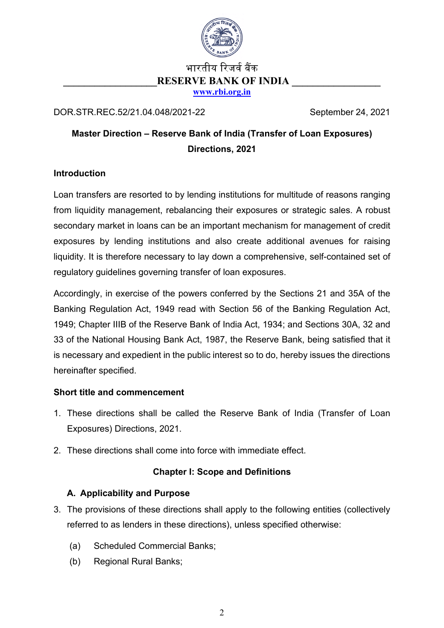

# भारतीय रिजर्व बैंक **RESERVE BANK OF INDIA [www.rbi.org.in](http://www.rbi.org.in/)**

DOR.STR.REC.52/21.04.048/2021-22 September 24, 2021

# **Master Direction – Reserve Bank of India (Transfer of Loan Exposures) Directions, 2021**

# **Introduction**

Loan transfers are resorted to by lending institutions for multitude of reasons ranging from liquidity management, rebalancing their exposures or strategic sales. A robust secondary market in loans can be an important mechanism for management of credit exposures by lending institutions and also create additional avenues for raising liquidity. It is therefore necessary to lay down a comprehensive, self-contained set of regulatory guidelines governing transfer of loan exposures.

Accordingly, in exercise of the powers conferred by the Sections 21 and 35A of the Banking Regulation Act, 1949 read with Section 56 of the Banking Regulation Act, 1949; Chapter IIIB of the Reserve Bank of India Act, 1934; and Sections 30A, 32 and 33 of the National Housing Bank Act, 1987, the Reserve Bank, being satisfied that it is necessary and expedient in the public interest so to do, hereby issues the directions hereinafter specified.

# **Short title and commencement**

- 1. These directions shall be called the Reserve Bank of India (Transfer of Loan Exposures) Directions, 2021.
- 2. These directions shall come into force with immediate effect.

# **Chapter I: Scope and Definitions**

# **A. Applicability and Purpose**

- 3. The provisions of these directions shall apply to the following entities (collectively referred to as lenders in these directions), unless specified otherwise:
	- (a) Scheduled Commercial Banks;
	- (b) Regional Rural Banks;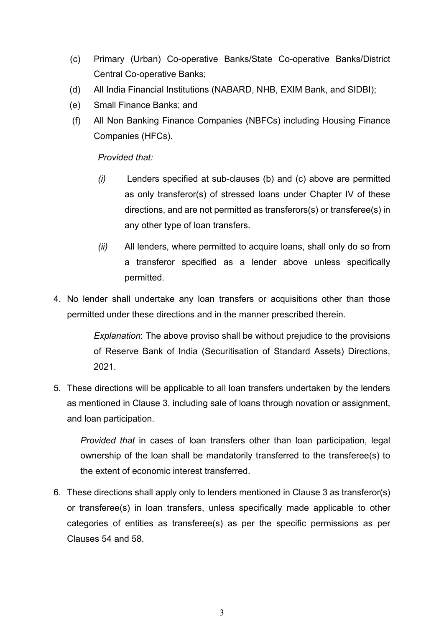- (c) Primary (Urban) Co-operative Banks/State Co-operative Banks/District Central Co-operative Banks;
- (d) All India Financial Institutions (NABARD, NHB, EXIM Bank, and SIDBI);
- (e) Small Finance Banks; and
- (f) All Non Banking Finance Companies (NBFCs) including Housing Finance Companies (HFCs).

*Provided that:*

- *(i)* Lenders specified at sub-clauses (b) and (c) above are permitted as only transferor(s) of stressed loans under Chapter IV of these directions, and are not permitted as transferors(s) or transferee(s) in any other type of loan transfers.
- *(ii)* All lenders, where permitted to acquire loans, shall only do so from a transferor specified as a lender above unless specifically permitted.
- 4. No lender shall undertake any loan transfers or acquisitions other than those permitted under these directions and in the manner prescribed therein.

*Explanation*: The above proviso shall be without prejudice to the provisions of Reserve Bank of India (Securitisation of Standard Assets) Directions, 2021.

5. These directions will be applicable to all loan transfers undertaken by the lenders as mentioned in Clause 3, including sale of loans through novation or assignment, and loan participation.

*Provided that* in cases of loan transfers other than loan participation, legal ownership of the loan shall be mandatorily transferred to the transferee(s) to the extent of economic interest transferred.

6. These directions shall apply only to lenders mentioned in Clause 3 as transferor(s) or transferee(s) in loan transfers, unless specifically made applicable to other categories of entities as transferee(s) as per the specific permissions as per Clauses 54 and 58.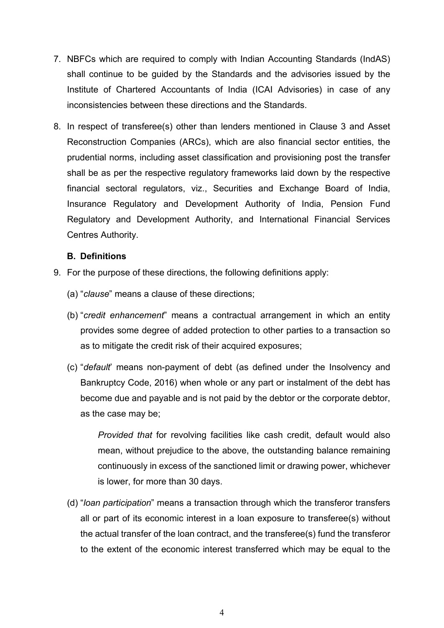- 7. NBFCs which are required to comply with Indian Accounting Standards (IndAS) shall continue to be guided by the Standards and the advisories issued by the Institute of Chartered Accountants of India (ICAI Advisories) in case of any inconsistencies between these directions and the Standards.
- 8. In respect of transferee(s) other than lenders mentioned in Clause 3 and Asset Reconstruction Companies (ARCs), which are also financial sector entities, the prudential norms, including asset classification and provisioning post the transfer shall be as per the respective regulatory frameworks laid down by the respective financial sectoral regulators, viz., Securities and Exchange Board of India, Insurance Regulatory and Development Authority of India, Pension Fund Regulatory and Development Authority, and International Financial Services Centres Authority.

#### **B. Definitions**

- 9. For the purpose of these directions, the following definitions apply:
	- (a) "*clause*" means a clause of these directions;
	- (b) "*credit enhancement*" means a contractual arrangement in which an entity provides some degree of added protection to other parties to a transaction so as to mitigate the credit risk of their acquired exposures;
	- (c) "*default*' means non-payment of debt (as defined under the Insolvency and Bankruptcy Code, 2016) when whole or any part or instalment of the debt has become due and payable and is not paid by the debtor or the corporate debtor, as the case may be;

*Provided that* for revolving facilities like cash credit, default would also mean, without prejudice to the above, the outstanding balance remaining continuously in excess of the sanctioned limit or drawing power, whichever is lower, for more than 30 days.

(d) "*loan participation*" means a transaction through which the transferor transfers all or part of its economic interest in a loan exposure to transferee(s) without the actual transfer of the loan contract, and the transferee(s) fund the transferor to the extent of the economic interest transferred which may be equal to the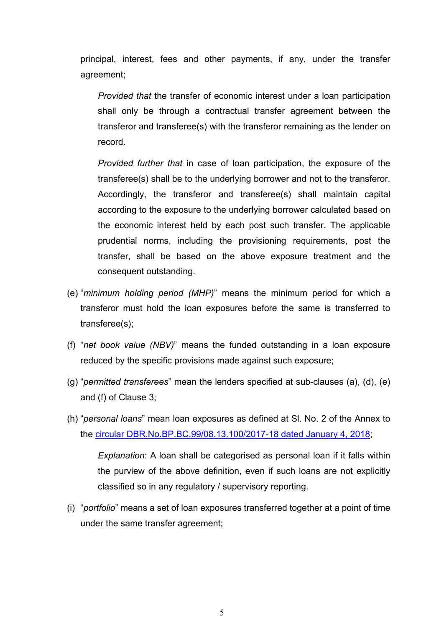principal, interest, fees and other payments, if any, under the transfer agreement;

*Provided that* the transfer of economic interest under a loan participation shall only be through a contractual transfer agreement between the transferor and transferee(s) with the transferor remaining as the lender on record.

*Provided further that* in case of loan participation, the exposure of the transferee(s) shall be to the underlying borrower and not to the transferor. Accordingly, the transferor and transferee(s) shall maintain capital according to the exposure to the underlying borrower calculated based on the economic interest held by each post such transfer. The applicable prudential norms, including the provisioning requirements, post the transfer, shall be based on the above exposure treatment and the consequent outstanding.

- (e) "*minimum holding period (MHP)*" means the minimum period for which a transferor must hold the loan exposures before the same is transferred to transferee(s);
- (f) "*net book value (NBV)*" means the funded outstanding in a loan exposure reduced by the specific provisions made against such exposure;
- (g) "*permitted transferees*" mean the lenders specified at sub-clauses (a), (d), (e) and (f) of Clause 3;
- (h) "*personal loans*" mean loan exposures as defined at Sl. No. 2 of the Annex to the [circular DBR.No.BP.BC.99/08.13.100/2017-18 dated January 4, 2018;](https://www.rbi.org.in/Scripts/NotificationUser.aspx?Id=11199&Mode=0)

*Explanation*: A loan shall be categorised as personal loan if it falls within the purview of the above definition, even if such loans are not explicitly classified so in any regulatory / supervisory reporting.

(i) "*portfolio*" means a set of loan exposures transferred together at a point of time under the same transfer agreement;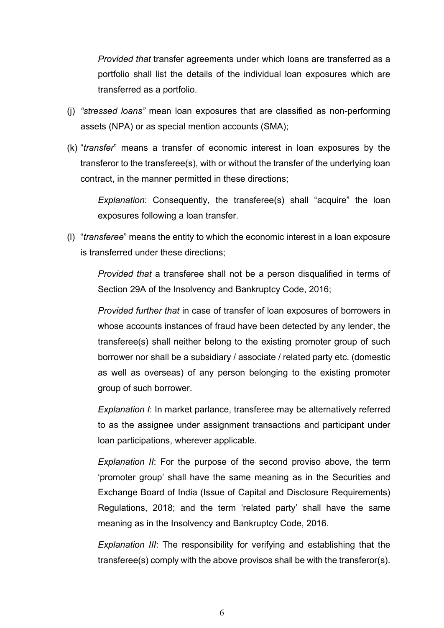*Provided that* transfer agreements under which loans are transferred as a portfolio shall list the details of the individual loan exposures which are transferred as a portfolio.

- (j) *"stressed loans"* mean loan exposures that are classified as non-performing assets (NPA) or as special mention accounts (SMA);
- (k) "*transfer*" means a transfer of economic interest in loan exposures by the transferor to the transferee(s), with or without the transfer of the underlying loan contract, in the manner permitted in these directions;

*Explanation*: Consequently, the transferee(s) shall "acquire" the loan exposures following a loan transfer.

(l) "*transferee*" means the entity to which the economic interest in a loan exposure is transferred under these directions;

*Provided that* a transferee shall not be a person disqualified in terms of Section 29A of the Insolvency and Bankruptcy Code, 2016;

*Provided further that* in case of transfer of loan exposures of borrowers in whose accounts instances of fraud have been detected by any lender, the transferee(s) shall neither belong to the existing promoter group of such borrower nor shall be a subsidiary / associate / related party etc. (domestic as well as overseas) of any person belonging to the existing promoter group of such borrower.

*Explanation I*: In market parlance, transferee may be alternatively referred to as the assignee under assignment transactions and participant under loan participations, wherever applicable.

*Explanation II*: For the purpose of the second proviso above, the term 'promoter group' shall have the same meaning as in the Securities and Exchange Board of India (Issue of Capital and Disclosure Requirements) Regulations, 2018; and the term 'related party' shall have the same meaning as in the Insolvency and Bankruptcy Code, 2016.

*Explanation III*: The responsibility for verifying and establishing that the transferee(s) comply with the above provisos shall be with the transferor(s).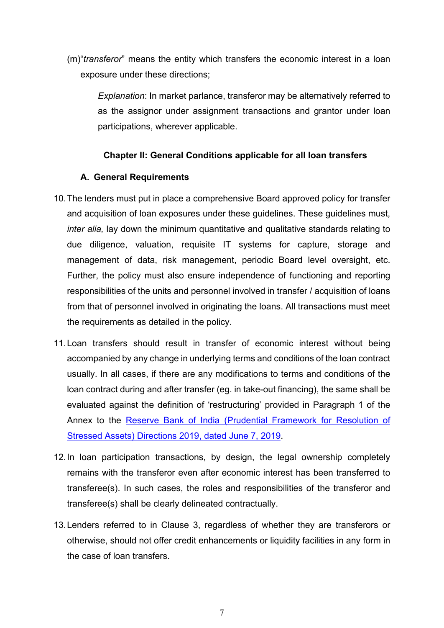(m)"*transferor*" means the entity which transfers the economic interest in a loan exposure under these directions;

*Explanation*: In market parlance, transferor may be alternatively referred to as the assignor under assignment transactions and grantor under loan participations, wherever applicable.

#### **Chapter II: General Conditions applicable for all loan transfers**

#### **A. General Requirements**

- 10.The lenders must put in place a comprehensive Board approved policy for transfer and acquisition of loan exposures under these guidelines. These guidelines must, *inter alia,* lay down the minimum quantitative and qualitative standards relating to due diligence, valuation, requisite IT systems for capture, storage and management of data, risk management, periodic Board level oversight, etc. Further, the policy must also ensure independence of functioning and reporting responsibilities of the units and personnel involved in transfer / acquisition of loans from that of personnel involved in originating the loans. All transactions must meet the requirements as detailed in the policy.
- 11.Loan transfers should result in transfer of economic interest without being accompanied by any change in underlying terms and conditions of the loan contract usually. In all cases, if there are any modifications to terms and conditions of the loan contract during and after transfer (eg. in take-out financing), the same shall be evaluated against the definition of 'restructuring' provided in Paragraph 1 of the Annex to the Reserve Bank of India (Prudential Framework for Resolution of [Stressed Assets\) Directions 2019, dated June 7, 2019.](https://www.rbi.org.in/Scripts/NotificationUser.aspx?Id=11580&Mode=0)
- 12.In loan participation transactions, by design, the legal ownership completely remains with the transferor even after economic interest has been transferred to transferee(s). In such cases, the roles and responsibilities of the transferor and transferee(s) shall be clearly delineated contractually.
- 13.Lenders referred to in Clause 3, regardless of whether they are transferors or otherwise, should not offer credit enhancements or liquidity facilities in any form in the case of loan transfers.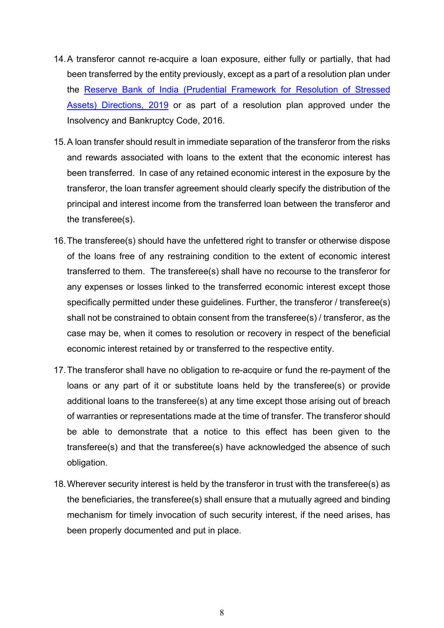- 14.A transferor cannot re-acquire a loan exposure, either fully or partially, that had been transferred by the entity previously, except as a part of a resolution plan under the [Reserve Bank of India \(Prudential Framework for Resolution of Stressed](https://www.rbi.org.in/Scripts/NotificationUser.aspx?Id=11580&Mode=0)  [Assets\) Directions, 2019](https://www.rbi.org.in/Scripts/NotificationUser.aspx?Id=11580&Mode=0) or as part of a resolution plan approved under the Insolvency and Bankruptcy Code, 2016.
- 15.A loan transfer should result in immediate separation of the transferor from the risks and rewards associated with loans to the extent that the economic interest has been transferred. In case of any retained economic interest in the exposure by the transferor, the loan transfer agreement should clearly specify the distribution of the principal and interest income from the transferred loan between the transferor and the transferee(s).
- 16.The transferee(s) should have the unfettered right to transfer or otherwise dispose of the loans free of any restraining condition to the extent of economic interest transferred to them. The transferee(s) shall have no recourse to the transferor for any expenses or losses linked to the transferred economic interest except those specifically permitted under these guidelines. Further, the transferor / transferee(s) shall not be constrained to obtain consent from the transferee(s) / transferor, as the case may be, when it comes to resolution or recovery in respect of the beneficial economic interest retained by or transferred to the respective entity.
- 17.The transferor shall have no obligation to re-acquire or fund the re-payment of the loans or any part of it or substitute loans held by the transferee(s) or provide additional loans to the transferee(s) at any time except those arising out of breach of warranties or representations made at the time of transfer. The transferor should be able to demonstrate that a notice to this effect has been given to the transferee(s) and that the transferee(s) have acknowledged the absence of such obligation.
- 18.Wherever security interest is held by the transferor in trust with the transferee(s) as the beneficiaries, the transferee(s) shall ensure that a mutually agreed and binding mechanism for timely invocation of such security interest, if the need arises, has been properly documented and put in place.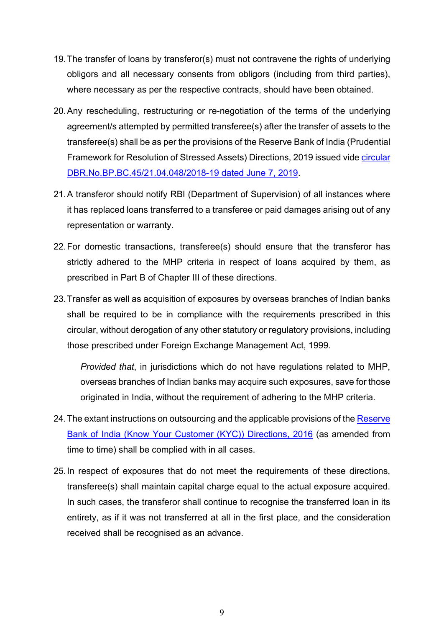- 19.The transfer of loans by transferor(s) must not contravene the rights of underlying obligors and all necessary consents from obligors (including from third parties), where necessary as per the respective contracts, should have been obtained.
- 20.Any rescheduling, restructuring or re-negotiation of the terms of the underlying agreement/s attempted by permitted transferee(s) after the transfer of assets to the transferee(s) shall be as per the provisions of the Reserve Bank of India (Prudential Framework for Resolution of Stressed Assets) Directions, 2019 issued vide *circular* [DBR.No.BP.BC.45/21.04.048/2018-19 dated June 7, 2019.](https://www.rbi.org.in/Scripts/NotificationUser.aspx?Id=11580&Mode=0)
- 21.A transferor should notify RBI (Department of Supervision) of all instances where it has replaced loans transferred to a transferee or paid damages arising out of any representation or warranty.
- 22.For domestic transactions, transferee(s) should ensure that the transferor has strictly adhered to the MHP criteria in respect of loans acquired by them, as prescribed in Part B of Chapter III of these directions.
- 23.Transfer as well as acquisition of exposures by overseas branches of Indian banks shall be required to be in compliance with the requirements prescribed in this circular, without derogation of any other statutory or regulatory provisions, including those prescribed under Foreign Exchange Management Act, 1999.

*Provided that*, in jurisdictions which do not have regulations related to MHP, overseas branches of Indian banks may acquire such exposures, save for those originated in India, without the requirement of adhering to the MHP criteria.

- 24. The extant instructions on outsourcing and the applicable provisions of the Reserve [Bank of India \(Know Your Customer \(KYC\)\) Directions, 2016](https://www.rbi.org.in/Scripts/BS_ViewMasDirections.aspx?id=11566) (as amended from time to time) shall be complied with in all cases.
- 25.In respect of exposures that do not meet the requirements of these directions, transferee(s) shall maintain capital charge equal to the actual exposure acquired. In such cases, the transferor shall continue to recognise the transferred loan in its entirety, as if it was not transferred at all in the first place, and the consideration received shall be recognised as an advance.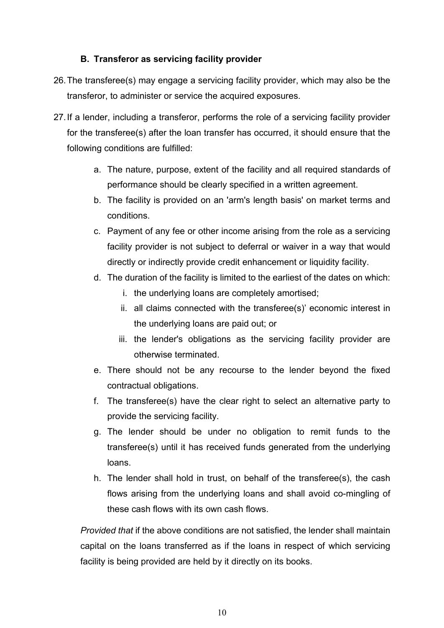# **B. Transferor as servicing facility provider**

- 26.The transferee(s) may engage a servicing facility provider, which may also be the transferor, to administer or service the acquired exposures.
- 27.If a lender, including a transferor, performs the role of a servicing facility provider for the transferee(s) after the loan transfer has occurred, it should ensure that the following conditions are fulfilled:
	- a. The nature, purpose, extent of the facility and all required standards of performance should be clearly specified in a written agreement.
	- b. The facility is provided on an 'arm's length basis' on market terms and conditions.
	- c. Payment of any fee or other income arising from the role as a servicing facility provider is not subject to deferral or waiver in a way that would directly or indirectly provide credit enhancement or liquidity facility.
	- d. The duration of the facility is limited to the earliest of the dates on which:
		- i. the underlying loans are completely amortised;
		- ii. all claims connected with the transferee(s)' economic interest in the underlying loans are paid out; or
		- iii. the lender's obligations as the servicing facility provider are otherwise terminated.
	- e. There should not be any recourse to the lender beyond the fixed contractual obligations.
	- f. The transferee(s) have the clear right to select an alternative party to provide the servicing facility.
	- g. The lender should be under no obligation to remit funds to the transferee(s) until it has received funds generated from the underlying loans.
	- h. The lender shall hold in trust, on behalf of the transferee(s), the cash flows arising from the underlying loans and shall avoid co-mingling of these cash flows with its own cash flows.

*Provided that* if the above conditions are not satisfied, the lender shall maintain capital on the loans transferred as if the loans in respect of which servicing facility is being provided are held by it directly on its books.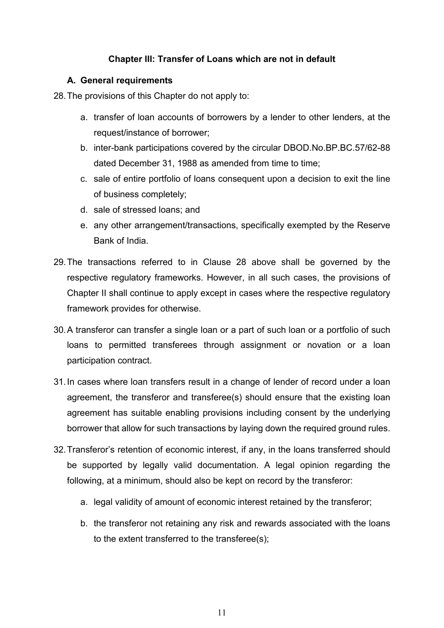# **Chapter III: Transfer of Loans which are not in default**

#### **A. General requirements**

28.The provisions of this Chapter do not apply to:

- a. transfer of loan accounts of borrowers by a lender to other lenders, at the request/instance of borrower;
- b. inter-bank participations covered by the circular DBOD.No.BP.BC.57/62-88 dated December 31, 1988 as amended from time to time;
- c. sale of entire portfolio of loans consequent upon a decision to exit the line of business completely;
- d. sale of stressed loans; and
- e. any other arrangement/transactions, specifically exempted by the Reserve Bank of India.
- 29.The transactions referred to in Clause 28 above shall be governed by the respective regulatory frameworks. However, in all such cases, the provisions of Chapter II shall continue to apply except in cases where the respective regulatory framework provides for otherwise.
- 30.A transferor can transfer a single loan or a part of such loan or a portfolio of such loans to permitted transferees through assignment or novation or a loan participation contract.
- 31.In cases where loan transfers result in a change of lender of record under a loan agreement, the transferor and transferee(s) should ensure that the existing loan agreement has suitable enabling provisions including consent by the underlying borrower that allow for such transactions by laying down the required ground rules.
- 32.Transferor's retention of economic interest, if any, in the loans transferred should be supported by legally valid documentation. A legal opinion regarding the following, at a minimum, should also be kept on record by the transferor:
	- a. legal validity of amount of economic interest retained by the transferor;
	- b. the transferor not retaining any risk and rewards associated with the loans to the extent transferred to the transferee(s);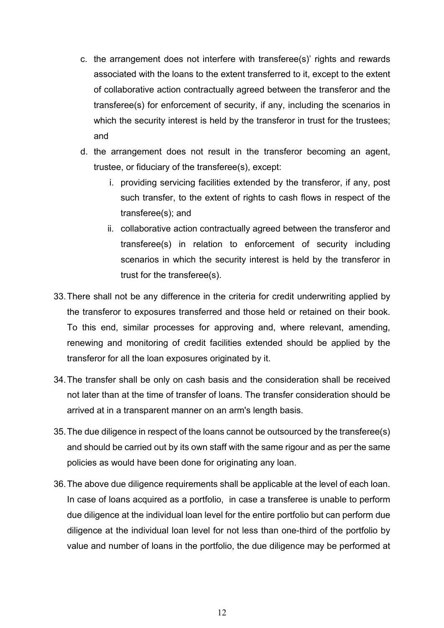- c. the arrangement does not interfere with transferee(s)' rights and rewards associated with the loans to the extent transferred to it, except to the extent of collaborative action contractually agreed between the transferor and the transferee(s) for enforcement of security, if any, including the scenarios in which the security interest is held by the transferor in trust for the trustees; and
- d. the arrangement does not result in the transferor becoming an agent, trustee, or fiduciary of the transferee(s), except:
	- i. providing servicing facilities extended by the transferor, if any, post such transfer, to the extent of rights to cash flows in respect of the transferee(s); and
	- ii. collaborative action contractually agreed between the transferor and transferee(s) in relation to enforcement of security including scenarios in which the security interest is held by the transferor in trust for the transferee(s).
- 33.There shall not be any difference in the criteria for credit underwriting applied by the transferor to exposures transferred and those held or retained on their book. To this end, similar processes for approving and, where relevant, amending, renewing and monitoring of credit facilities extended should be applied by the transferor for all the loan exposures originated by it.
- 34.The transfer shall be only on cash basis and the consideration shall be received not later than at the time of transfer of loans. The transfer consideration should be arrived at in a transparent manner on an arm's length basis.
- 35.The due diligence in respect of the loans cannot be outsourced by the transferee(s) and should be carried out by its own staff with the same rigour and as per the same policies as would have been done for originating any loan.
- 36.The above due diligence requirements shall be applicable at the level of each loan. In case of loans acquired as a portfolio, in case a transferee is unable to perform due diligence at the individual loan level for the entire portfolio but can perform due diligence at the individual loan level for not less than one-third of the portfolio by value and number of loans in the portfolio, the due diligence may be performed at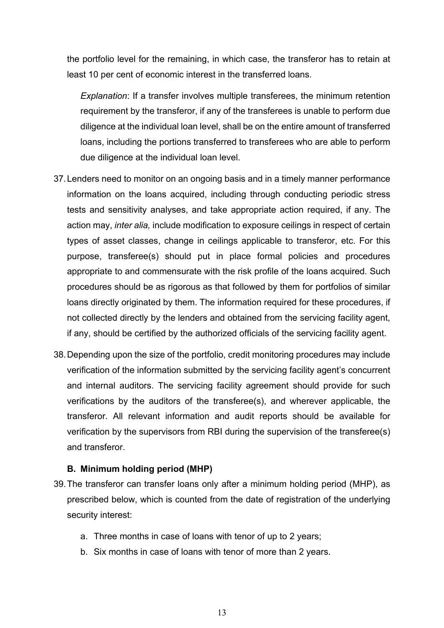the portfolio level for the remaining, in which case, the transferor has to retain at least 10 per cent of economic interest in the transferred loans.

*Explanation*: If a transfer involves multiple transferees, the minimum retention requirement by the transferor, if any of the transferees is unable to perform due diligence at the individual loan level, shall be on the entire amount of transferred loans, including the portions transferred to transferees who are able to perform due diligence at the individual loan level.

- 37.Lenders need to monitor on an ongoing basis and in a timely manner performance information on the loans acquired, including through conducting periodic stress tests and sensitivity analyses, and take appropriate action required, if any. The action may, *inter alia,* include modification to exposure ceilings in respect of certain types of asset classes, change in ceilings applicable to transferor, etc. For this purpose, transferee(s) should put in place formal policies and procedures appropriate to and commensurate with the risk profile of the loans acquired. Such procedures should be as rigorous as that followed by them for portfolios of similar loans directly originated by them. The information required for these procedures, if not collected directly by the lenders and obtained from the servicing facility agent, if any, should be certified by the authorized officials of the servicing facility agent.
- 38.Depending upon the size of the portfolio, credit monitoring procedures may include verification of the information submitted by the servicing facility agent's concurrent and internal auditors. The servicing facility agreement should provide for such verifications by the auditors of the transferee(s), and wherever applicable, the transferor. All relevant information and audit reports should be available for verification by the supervisors from RBI during the supervision of the transferee(s) and transferor.

#### **B. Minimum holding period (MHP)**

- 39.The transferor can transfer loans only after a minimum holding period (MHP), as prescribed below, which is counted from the date of registration of the underlying security interest:
	- a. Three months in case of loans with tenor of up to 2 years;
	- b. Six months in case of loans with tenor of more than 2 years.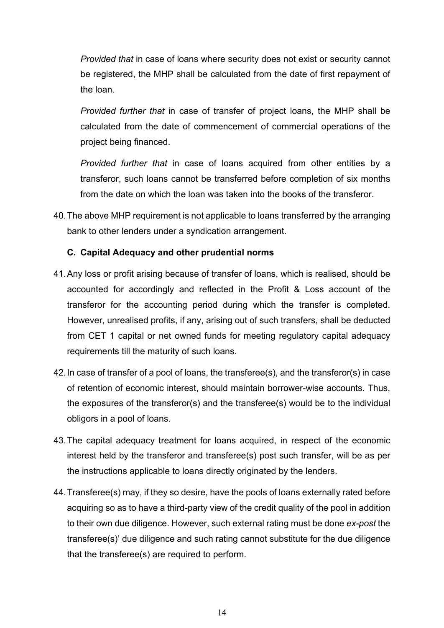*Provided that* in case of loans where security does not exist or security cannot be registered, the MHP shall be calculated from the date of first repayment of the loan.

*Provided further that* in case of transfer of project loans, the MHP shall be calculated from the date of commencement of commercial operations of the project being financed.

*Provided further that* in case of loans acquired from other entities by a transferor, such loans cannot be transferred before completion of six months from the date on which the loan was taken into the books of the transferor.

40.The above MHP requirement is not applicable to loans transferred by the arranging bank to other lenders under a syndication arrangement.

#### **C. Capital Adequacy and other prudential norms**

- 41.Any loss or profit arising because of transfer of loans, which is realised, should be accounted for accordingly and reflected in the Profit & Loss account of the transferor for the accounting period during which the transfer is completed. However, unrealised profits, if any, arising out of such transfers, shall be deducted from CET 1 capital or net owned funds for meeting regulatory capital adequacy requirements till the maturity of such loans.
- 42.In case of transfer of a pool of loans, the transferee(s), and the transferor(s) in case of retention of economic interest, should maintain borrower-wise accounts. Thus, the exposures of the transferor(s) and the transferee(s) would be to the individual obligors in a pool of loans.
- 43.The capital adequacy treatment for loans acquired, in respect of the economic interest held by the transferor and transferee(s) post such transfer, will be as per the instructions applicable to loans directly originated by the lenders.
- 44.Transferee(s) may, if they so desire, have the pools of loans externally rated before acquiring so as to have a third-party view of the credit quality of the pool in addition to their own due diligence. However, such external rating must be done *ex-post* the transferee(s)' due diligence and such rating cannot substitute for the due diligence that the transferee(s) are required to perform.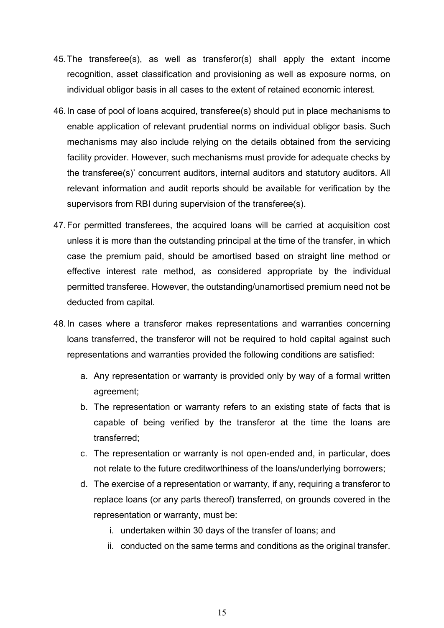- 45.The transferee(s), as well as transferor(s) shall apply the extant income recognition, asset classification and provisioning as well as exposure norms, on individual obligor basis in all cases to the extent of retained economic interest.
- 46.In case of pool of loans acquired, transferee(s) should put in place mechanisms to enable application of relevant prudential norms on individual obligor basis. Such mechanisms may also include relying on the details obtained from the servicing facility provider. However, such mechanisms must provide for adequate checks by the transferee(s)' concurrent auditors, internal auditors and statutory auditors. All relevant information and audit reports should be available for verification by the supervisors from RBI during supervision of the transferee(s).
- 47.For permitted transferees, the acquired loans will be carried at acquisition cost unless it is more than the outstanding principal at the time of the transfer, in which case the premium paid, should be amortised based on straight line method or effective interest rate method, as considered appropriate by the individual permitted transferee. However, the outstanding/unamortised premium need not be deducted from capital.
- 48.In cases where a transferor makes representations and warranties concerning loans transferred, the transferor will not be required to hold capital against such representations and warranties provided the following conditions are satisfied:
	- a. Any representation or warranty is provided only by way of a formal written agreement;
	- b. The representation or warranty refers to an existing state of facts that is capable of being verified by the transferor at the time the loans are transferred;
	- c. The representation or warranty is not open-ended and, in particular, does not relate to the future creditworthiness of the loans/underlying borrowers;
	- d. The exercise of a representation or warranty, if any, requiring a transferor to replace loans (or any parts thereof) transferred, on grounds covered in the representation or warranty, must be:
		- i. undertaken within 30 days of the transfer of loans; and
		- ii. conducted on the same terms and conditions as the original transfer.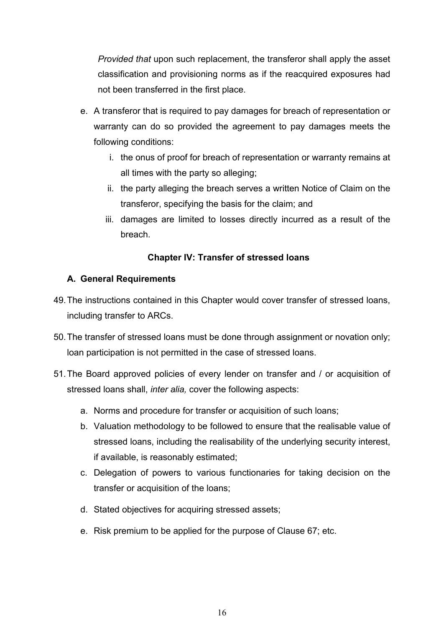*Provided that* upon such replacement, the transferor shall apply the asset classification and provisioning norms as if the reacquired exposures had not been transferred in the first place.

- e. A transferor that is required to pay damages for breach of representation or warranty can do so provided the agreement to pay damages meets the following conditions:
	- i. the onus of proof for breach of representation or warranty remains at all times with the party so alleging;
	- ii. the party alleging the breach serves a written Notice of Claim on the transferor, specifying the basis for the claim; and
	- iii. damages are limited to losses directly incurred as a result of the breach.

# **Chapter IV: Transfer of stressed loans**

# **A. General Requirements**

- 49.The instructions contained in this Chapter would cover transfer of stressed loans, including transfer to ARCs.
- 50.The transfer of stressed loans must be done through assignment or novation only; loan participation is not permitted in the case of stressed loans.
- 51.The Board approved policies of every lender on transfer and / or acquisition of stressed loans shall, *inter alia,* cover the following aspects:
	- a. Norms and procedure for transfer or acquisition of such loans;
	- b. Valuation methodology to be followed to ensure that the realisable value of stressed loans, including the realisability of the underlying security interest, if available, is reasonably estimated;
	- c. Delegation of powers to various functionaries for taking decision on the transfer or acquisition of the loans;
	- d. Stated objectives for acquiring stressed assets;
	- e. Risk premium to be applied for the purpose of Clause 67; etc.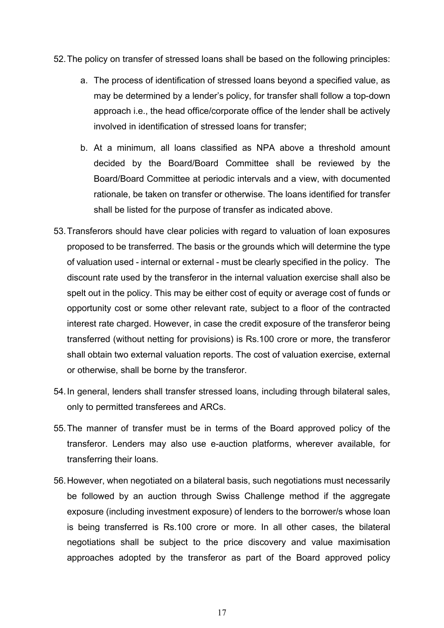- 52.The policy on transfer of stressed loans shall be based on the following principles:
	- a. The process of identification of stressed loans beyond a specified value, as may be determined by a lender's policy, for transfer shall follow a top-down approach i.e., the head office/corporate office of the lender shall be actively involved in identification of stressed loans for transfer;
	- b. At a minimum, all loans classified as NPA above a threshold amount decided by the Board/Board Committee shall be reviewed by the Board/Board Committee at periodic intervals and a view, with documented rationale, be taken on transfer or otherwise. The loans identified for transfer shall be listed for the purpose of transfer as indicated above.
- 53.Transferors should have clear policies with regard to valuation of loan exposures proposed to be transferred. The basis or the grounds which will determine the type of valuation used - internal or external - must be clearly specified in the policy. The discount rate used by the transferor in the internal valuation exercise shall also be spelt out in the policy. This may be either cost of equity or average cost of funds or opportunity cost or some other relevant rate, subject to a floor of the contracted interest rate charged. However, in case the credit exposure of the transferor being transferred (without netting for provisions) is Rs.100 crore or more, the transferor shall obtain two external valuation reports. The cost of valuation exercise, external or otherwise, shall be borne by the transferor.
- 54.In general, lenders shall transfer stressed loans, including through bilateral sales, only to permitted transferees and ARCs.
- 55.The manner of transfer must be in terms of the Board approved policy of the transferor. Lenders may also use e-auction platforms, wherever available, for transferring their loans.
- 56.However, when negotiated on a bilateral basis, such negotiations must necessarily be followed by an auction through Swiss Challenge method if the aggregate exposure (including investment exposure) of lenders to the borrower/s whose loan is being transferred is Rs.100 crore or more. In all other cases, the bilateral negotiations shall be subject to the price discovery and value maximisation approaches adopted by the transferor as part of the Board approved policy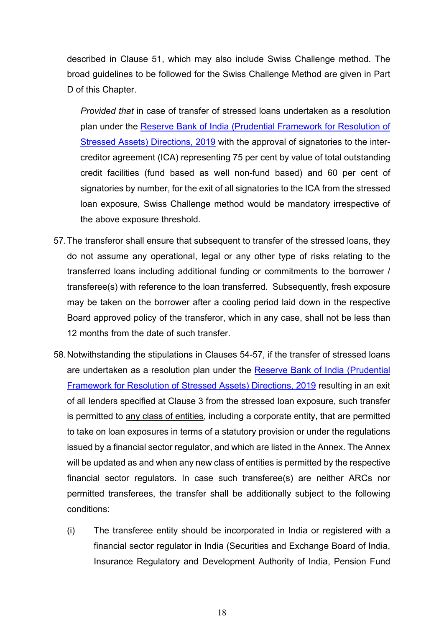described in Clause 51, which may also include Swiss Challenge method. The broad guidelines to be followed for the Swiss Challenge Method are given in Part D of this Chapter.

*Provided that* in case of transfer of stressed loans undertaken as a resolution plan under the [Reserve Bank of India \(Prudential Framework for Resolution of](https://www.rbi.org.in/Scripts/NotificationUser.aspx?Id=11580&Mode=0)  [Stressed Assets\) Directions, 2019](https://www.rbi.org.in/Scripts/NotificationUser.aspx?Id=11580&Mode=0) with the approval of signatories to the intercreditor agreement (ICA) representing 75 per cent by value of total outstanding credit facilities (fund based as well non-fund based) and 60 per cent of signatories by number, for the exit of all signatories to the ICA from the stressed loan exposure, Swiss Challenge method would be mandatory irrespective of the above exposure threshold.

- 57.The transferor shall ensure that subsequent to transfer of the stressed loans, they do not assume any operational, legal or any other type of risks relating to the transferred loans including additional funding or commitments to the borrower / transferee(s) with reference to the loan transferred. Subsequently, fresh exposure may be taken on the borrower after a cooling period laid down in the respective Board approved policy of the transferor, which in any case, shall not be less than 12 months from the date of such transfer.
- 58.Notwithstanding the stipulations in Clauses 54-57, if the transfer of stressed loans are undertaken as a resolution plan under the [Reserve Bank of India \(Prudential](https://www.rbi.org.in/Scripts/NotificationUser.aspx?Id=11580&Mode=0)  [Framework for Resolution of Stressed Assets\) Directions, 2019](https://www.rbi.org.in/Scripts/NotificationUser.aspx?Id=11580&Mode=0) resulting in an exit of all lenders specified at Clause 3 from the stressed loan exposure, such transfer is permitted to any class of entities, including a corporate entity, that are permitted to take on loan exposures in terms of a statutory provision or under the regulations issued by a financial sector regulator, and which are listed in the Annex. The Annex will be updated as and when any new class of entities is permitted by the respective financial sector regulators. In case such transferee(s) are neither ARCs nor permitted transferees, the transfer shall be additionally subject to the following conditions:
	- (i) The transferee entity should be incorporated in India or registered with a financial sector regulator in India (Securities and Exchange Board of India, Insurance Regulatory and Development Authority of India, Pension Fund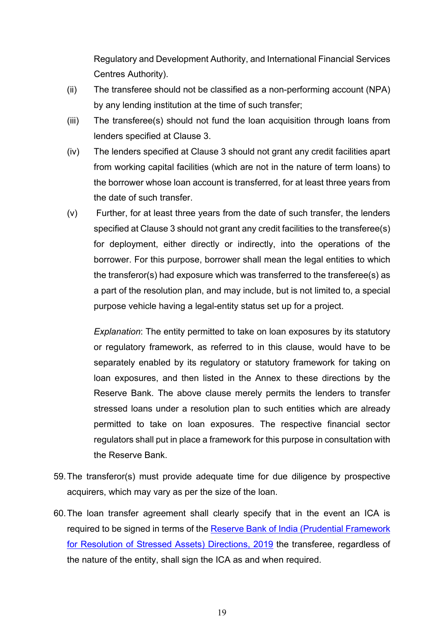Regulatory and Development Authority, and International Financial Services Centres Authority).

- (ii) The transferee should not be classified as a non-performing account (NPA) by any lending institution at the time of such transfer;
- (iii) The transferee(s) should not fund the loan acquisition through loans from lenders specified at Clause 3.
- (iv) The lenders specified at Clause 3 should not grant any credit facilities apart from working capital facilities (which are not in the nature of term loans) to the borrower whose loan account is transferred, for at least three years from the date of such transfer.
- (v) Further, for at least three years from the date of such transfer, the lenders specified at Clause 3 should not grant any credit facilities to the transferee(s) for deployment, either directly or indirectly, into the operations of the borrower. For this purpose, borrower shall mean the legal entities to which the transferor(s) had exposure which was transferred to the transferee(s) as a part of the resolution plan, and may include, but is not limited to, a special purpose vehicle having a legal-entity status set up for a project.

*Explanation*: The entity permitted to take on loan exposures by its statutory or regulatory framework, as referred to in this clause, would have to be separately enabled by its regulatory or statutory framework for taking on loan exposures, and then listed in the Annex to these directions by the Reserve Bank. The above clause merely permits the lenders to transfer stressed loans under a resolution plan to such entities which are already permitted to take on loan exposures. The respective financial sector regulators shall put in place a framework for this purpose in consultation with the Reserve Bank.

- 59.The transferor(s) must provide adequate time for due diligence by prospective acquirers, which may vary as per the size of the loan.
- 60.The loan transfer agreement shall clearly specify that in the event an ICA is required to be signed in terms of the [Reserve Bank of India \(Prudential Framework](https://www.rbi.org.in/Scripts/NotificationUser.aspx?Id=11580&Mode=0)  [for Resolution of Stressed Assets\) Directions, 2019](https://www.rbi.org.in/Scripts/NotificationUser.aspx?Id=11580&Mode=0) the transferee, regardless of the nature of the entity, shall sign the ICA as and when required.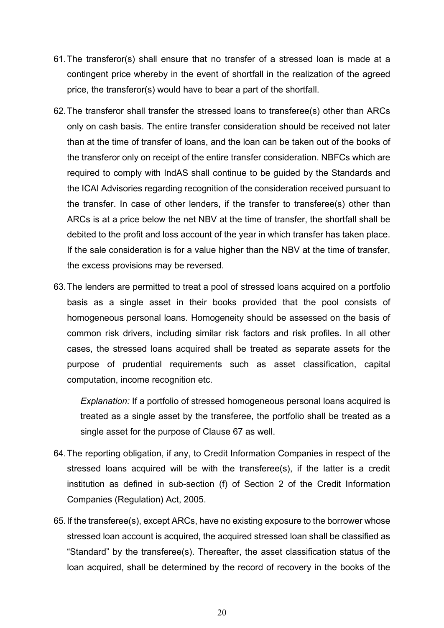- 61.The transferor(s) shall ensure that no transfer of a stressed loan is made at a contingent price whereby in the event of shortfall in the realization of the agreed price, the transferor(s) would have to bear a part of the shortfall.
- 62.The transferor shall transfer the stressed loans to transferee(s) other than ARCs only on cash basis. The entire transfer consideration should be received not later than at the time of transfer of loans, and the loan can be taken out of the books of the transferor only on receipt of the entire transfer consideration. NBFCs which are required to comply with IndAS shall continue to be guided by the Standards and the ICAI Advisories regarding recognition of the consideration received pursuant to the transfer. In case of other lenders, if the transfer to transferee(s) other than ARCs is at a price below the net NBV at the time of transfer, the shortfall shall be debited to the profit and loss account of the year in which transfer has taken place. If the sale consideration is for a value higher than the NBV at the time of transfer, the excess provisions may be reversed.
- 63.The lenders are permitted to treat a pool of stressed loans acquired on a portfolio basis as a single asset in their books provided that the pool consists of homogeneous personal loans. Homogeneity should be assessed on the basis of common risk drivers, including similar risk factors and risk profiles. In all other cases, the stressed loans acquired shall be treated as separate assets for the purpose of prudential requirements such as asset classification, capital computation, income recognition etc.

*Explanation:* If a portfolio of stressed homogeneous personal loans acquired is treated as a single asset by the transferee, the portfolio shall be treated as a single asset for the purpose of Clause 67 as well.

- 64.The reporting obligation, if any, to Credit Information Companies in respect of the stressed loans acquired will be with the transferee(s), if the latter is a credit institution as defined in sub-section (f) of Section 2 of the Credit Information Companies (Regulation) Act, 2005.
- 65.If the transferee(s), except ARCs, have no existing exposure to the borrower whose stressed loan account is acquired, the acquired stressed loan shall be classified as "Standard" by the transferee(s). Thereafter, the asset classification status of the loan acquired, shall be determined by the record of recovery in the books of the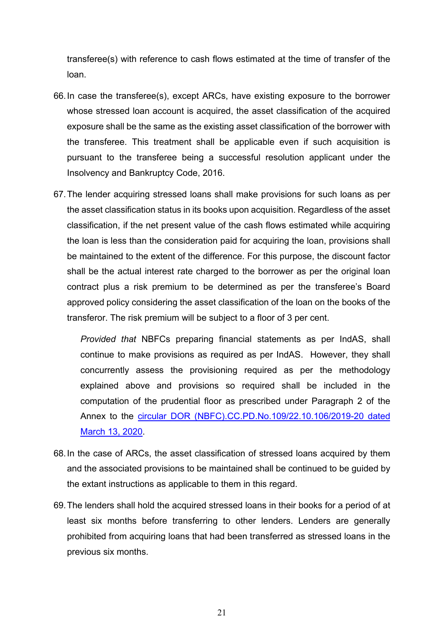transferee(s) with reference to cash flows estimated at the time of transfer of the loan.

- 66.In case the transferee(s), except ARCs, have existing exposure to the borrower whose stressed loan account is acquired, the asset classification of the acquired exposure shall be the same as the existing asset classification of the borrower with the transferee. This treatment shall be applicable even if such acquisition is pursuant to the transferee being a successful resolution applicant under the Insolvency and Bankruptcy Code, 2016.
- 67.The lender acquiring stressed loans shall make provisions for such loans as per the asset classification status in its books upon acquisition. Regardless of the asset classification, if the net present value of the cash flows estimated while acquiring the loan is less than the consideration paid for acquiring the loan, provisions shall be maintained to the extent of the difference. For this purpose, the discount factor shall be the actual interest rate charged to the borrower as per the original loan contract plus a risk premium to be determined as per the transferee's Board approved policy considering the asset classification of the loan on the books of the transferor. The risk premium will be subject to a floor of 3 per cent.

*Provided that* NBFCs preparing financial statements as per IndAS, shall continue to make provisions as required as per IndAS. However, they shall concurrently assess the provisioning required as per the methodology explained above and provisions so required shall be included in the computation of the prudential floor as prescribed under Paragraph 2 of the Annex to the [circular DOR \(NBFC\).CC.PD.No.109/22.10.106/2019-20 dated](https://www.rbi.org.in/Scripts/NotificationUser.aspx?Id=11818&Mode=0)  [March 13, 2020.](https://www.rbi.org.in/Scripts/NotificationUser.aspx?Id=11818&Mode=0)

- 68.In the case of ARCs, the asset classification of stressed loans acquired by them and the associated provisions to be maintained shall be continued to be guided by the extant instructions as applicable to them in this regard.
- 69.The lenders shall hold the acquired stressed loans in their books for a period of at least six months before transferring to other lenders. Lenders are generally prohibited from acquiring loans that had been transferred as stressed loans in the previous six months.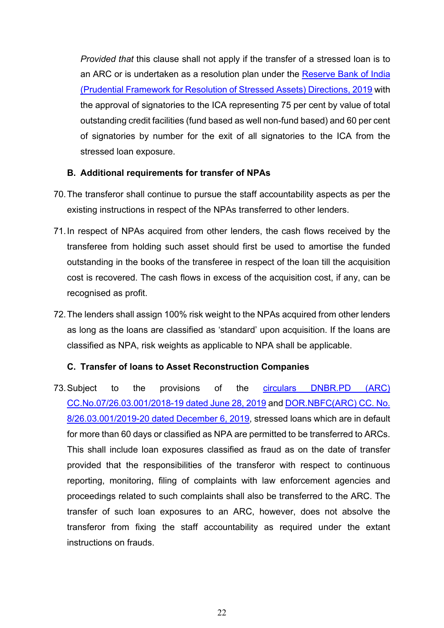*Provided that* this clause shall not apply if the transfer of a stressed loan is to an ARC or is undertaken as a resolution plan under the [Reserve Bank of India](https://www.rbi.org.in/Scripts/NotificationUser.aspx?Id=11580&Mode=0)  [\(Prudential Framework for Resolution of Stressed Assets\) Directions, 2019](https://www.rbi.org.in/Scripts/NotificationUser.aspx?Id=11580&Mode=0) with the approval of signatories to the ICA representing 75 per cent by value of total outstanding credit facilities (fund based as well non-fund based) and 60 per cent of signatories by number for the exit of all signatories to the ICA from the stressed loan exposure.

#### **B. Additional requirements for transfer of NPAs**

- 70.The transferor shall continue to pursue the staff accountability aspects as per the existing instructions in respect of the NPAs transferred to other lenders.
- 71.In respect of NPAs acquired from other lenders, the cash flows received by the transferee from holding such asset should first be used to amortise the funded outstanding in the books of the transferee in respect of the loan till the acquisition cost is recovered. The cash flows in excess of the acquisition cost, if any, can be recognised as profit.
- 72.The lenders shall assign 100% risk weight to the NPAs acquired from other lenders as long as the loans are classified as 'standard' upon acquisition. If the loans are classified as NPA, risk weights as applicable to NPA shall be applicable.

#### **C. Transfer of loans to Asset Reconstruction Companies**

73.Subject to the provisions of the [circulars DNBR.PD \(ARC\)](https://www.rbi.org.in/Scripts/NotificationUser.aspx?Id=11608&Mode=0)  [CC.No.07/26.03.001/2018-19 dated June 28, 2019](https://www.rbi.org.in/Scripts/NotificationUser.aspx?Id=11608&Mode=0) and [DOR.NBFC\(ARC\) CC. No.](https://www.rbi.org.in/Scripts/NotificationUser.aspx?Id=11749&Mode=0)  [8/26.03.001/2019-20 dated December 6, 2019,](https://www.rbi.org.in/Scripts/NotificationUser.aspx?Id=11749&Mode=0) stressed loans which are in default for more than 60 days or classified as NPA are permitted to be transferred to ARCs. This shall include loan exposures classified as fraud as on the date of transfer provided that the responsibilities of the transferor with respect to continuous reporting, monitoring, filing of complaints with law enforcement agencies and proceedings related to such complaints shall also be transferred to the ARC. The transfer of such loan exposures to an ARC, however, does not absolve the transferor from fixing the staff accountability as required under the extant instructions on frauds.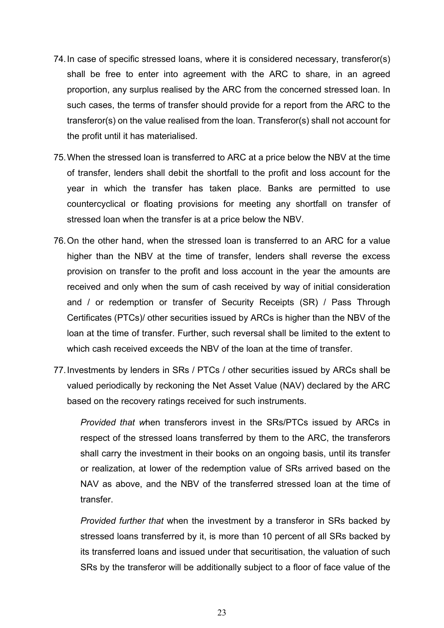- 74.In case of specific stressed loans, where it is considered necessary, transferor(s) shall be free to enter into agreement with the ARC to share, in an agreed proportion, any surplus realised by the ARC from the concerned stressed loan. In such cases, the terms of transfer should provide for a report from the ARC to the transferor(s) on the value realised from the loan. Transferor(s) shall not account for the profit until it has materialised.
- 75.When the stressed loan is transferred to ARC at a price below the NBV at the time of transfer, lenders shall debit the shortfall to the profit and loss account for the year in which the transfer has taken place. Banks are permitted to use countercyclical or floating provisions for meeting any shortfall on transfer of stressed loan when the transfer is at a price below the NBV.
- 76.On the other hand, when the stressed loan is transferred to an ARC for a value higher than the NBV at the time of transfer, lenders shall reverse the excess provision on transfer to the profit and loss account in the year the amounts are received and only when the sum of cash received by way of initial consideration and / or redemption or transfer of Security Receipts (SR) / Pass Through Certificates (PTCs)/ other securities issued by ARCs is higher than the NBV of the loan at the time of transfer. Further, such reversal shall be limited to the extent to which cash received exceeds the NBV of the loan at the time of transfer.
- 77.Investments by lenders in SRs / PTCs / other securities issued by ARCs shall be valued periodically by reckoning the Net Asset Value (NAV) declared by the ARC based on the recovery ratings received for such instruments.

*Provided that w*hen transferors invest in the SRs/PTCs issued by ARCs in respect of the stressed loans transferred by them to the ARC, the transferors shall carry the investment in their books on an ongoing basis, until its transfer or realization, at lower of the redemption value of SRs arrived based on the NAV as above, and the NBV of the transferred stressed loan at the time of transfer.

*Provided further that* when the investment by a transferor in SRs backed by stressed loans transferred by it, is more than 10 percent of all SRs backed by its transferred loans and issued under that securitisation, the valuation of such SRs by the transferor will be additionally subject to a floor of face value of the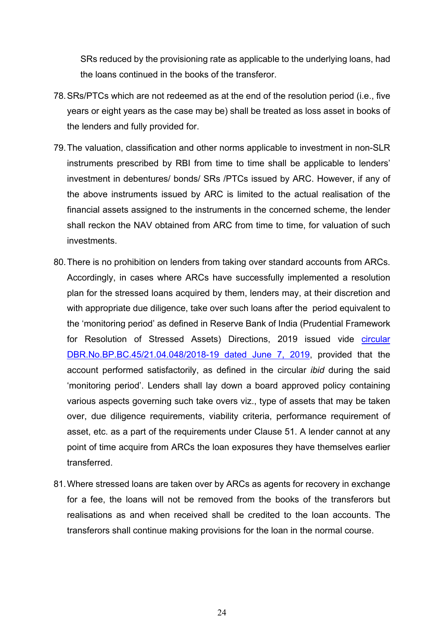SRs reduced by the provisioning rate as applicable to the underlying loans, had the loans continued in the books of the transferor.

- 78.SRs/PTCs which are not redeemed as at the end of the resolution period (i.e., five years or eight years as the case may be) shall be treated as loss asset in books of the lenders and fully provided for.
- 79.The valuation, classification and other norms applicable to investment in non-SLR instruments prescribed by RBI from time to time shall be applicable to lenders' investment in debentures/ bonds/ SRs /PTCs issued by ARC. However, if any of the above instruments issued by ARC is limited to the actual realisation of the financial assets assigned to the instruments in the concerned scheme, the lender shall reckon the NAV obtained from ARC from time to time, for valuation of such investments.
- 80.There is no prohibition on lenders from taking over standard accounts from ARCs. Accordingly, in cases where ARCs have successfully implemented a resolution plan for the stressed loans acquired by them, lenders may, at their discretion and with appropriate due diligence, take over such loans after the period equivalent to the 'monitoring period' as defined in Reserve Bank of India (Prudential Framework for Resolution of Stressed Assets) Directions, 2019 issued vide [circular](https://www.rbi.org.in/Scripts/NotificationUser.aspx?Id=11580&Mode=0)  [DBR.No.BP.BC.45/21.04.048/2018-19 dated June 7, 2019,](https://www.rbi.org.in/Scripts/NotificationUser.aspx?Id=11580&Mode=0) provided that the account performed satisfactorily, as defined in the circular *ibid* during the said 'monitoring period'. Lenders shall lay down a board approved policy containing various aspects governing such take overs viz., type of assets that may be taken over, due diligence requirements, viability criteria, performance requirement of asset, etc. as a part of the requirements under Clause 51. A lender cannot at any point of time acquire from ARCs the loan exposures they have themselves earlier transferred.
- 81.Where stressed loans are taken over by ARCs as agents for recovery in exchange for a fee, the loans will not be removed from the books of the transferors but realisations as and when received shall be credited to the loan accounts. The transferors shall continue making provisions for the loan in the normal course.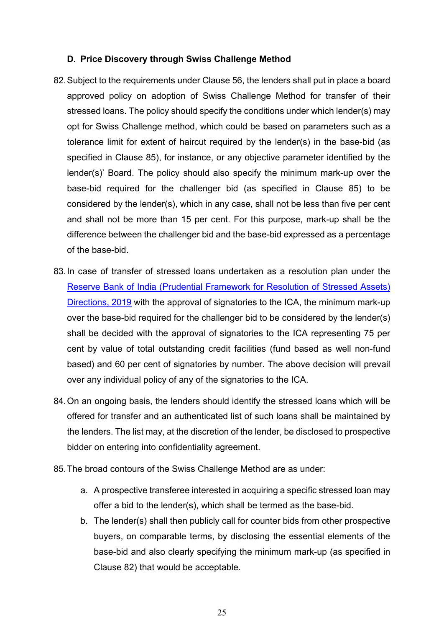#### **D. Price Discovery through Swiss Challenge Method**

- 82.Subject to the requirements under Clause 56, the lenders shall put in place a board approved policy on adoption of Swiss Challenge Method for transfer of their stressed loans. The policy should specify the conditions under which lender(s) may opt for Swiss Challenge method, which could be based on parameters such as a tolerance limit for extent of haircut required by the lender(s) in the base-bid (as specified in Clause 85), for instance, or any objective parameter identified by the lender(s)' Board. The policy should also specify the minimum mark-up over the base-bid required for the challenger bid (as specified in Clause 85) to be considered by the lender(s), which in any case, shall not be less than five per cent and shall not be more than 15 per cent. For this purpose, mark-up shall be the difference between the challenger bid and the base-bid expressed as a percentage of the base-bid.
- 83.In case of transfer of stressed loans undertaken as a resolution plan under the [Reserve Bank of India \(Prudential Framework for Resolution of Stressed Assets\)](https://www.rbi.org.in/Scripts/NotificationUser.aspx?Id=11580&Mode=0)  [Directions, 2019](https://www.rbi.org.in/Scripts/NotificationUser.aspx?Id=11580&Mode=0) with the approval of signatories to the ICA, the minimum mark-up over the base-bid required for the challenger bid to be considered by the lender(s) shall be decided with the approval of signatories to the ICA representing 75 per cent by value of total outstanding credit facilities (fund based as well non-fund based) and 60 per cent of signatories by number. The above decision will prevail over any individual policy of any of the signatories to the ICA.
- 84.On an ongoing basis, the lenders should identify the stressed loans which will be offered for transfer and an authenticated list of such loans shall be maintained by the lenders. The list may, at the discretion of the lender, be disclosed to prospective bidder on entering into confidentiality agreement.
- 85.The broad contours of the Swiss Challenge Method are as under:
	- a. A prospective transferee interested in acquiring a specific stressed loan may offer a bid to the lender(s), which shall be termed as the base-bid.
	- b. The lender(s) shall then publicly call for counter bids from other prospective buyers, on comparable terms, by disclosing the essential elements of the base-bid and also clearly specifying the minimum mark-up (as specified in Clause 82) that would be acceptable.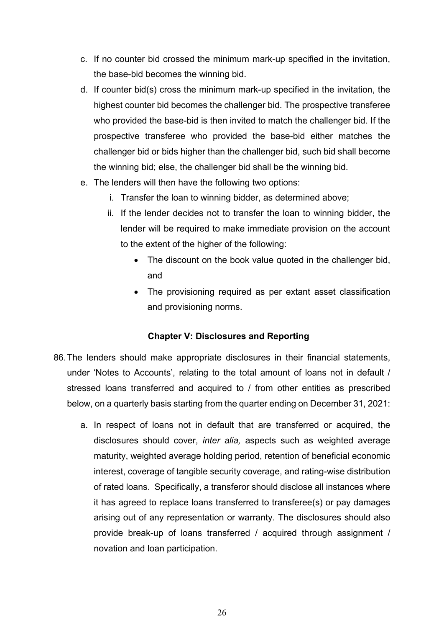- c. If no counter bid crossed the minimum mark-up specified in the invitation, the base-bid becomes the winning bid.
- d. If counter bid(s) cross the minimum mark-up specified in the invitation, the highest counter bid becomes the challenger bid. The prospective transferee who provided the base-bid is then invited to match the challenger bid. If the prospective transferee who provided the base-bid either matches the challenger bid or bids higher than the challenger bid, such bid shall become the winning bid; else, the challenger bid shall be the winning bid.
- e. The lenders will then have the following two options:
	- i. Transfer the loan to winning bidder, as determined above;
	- ii. If the lender decides not to transfer the loan to winning bidder, the lender will be required to make immediate provision on the account to the extent of the higher of the following:
		- The discount on the book value quoted in the challenger bid, and
		- The provisioning required as per extant asset classification and provisioning norms.

#### **Chapter V: Disclosures and Reporting**

- 86.The lenders should make appropriate disclosures in their financial statements, under 'Notes to Accounts', relating to the total amount of loans not in default / stressed loans transferred and acquired to / from other entities as prescribed below, on a quarterly basis starting from the quarter ending on December 31, 2021:
	- a. In respect of loans not in default that are transferred or acquired, the disclosures should cover, *inter alia,* aspects such as weighted average maturity, weighted average holding period, retention of beneficial economic interest, coverage of tangible security coverage, and rating-wise distribution of rated loans. Specifically, a transferor should disclose all instances where it has agreed to replace loans transferred to transferee(s) or pay damages arising out of any representation or warranty. The disclosures should also provide break-up of loans transferred / acquired through assignment / novation and loan participation.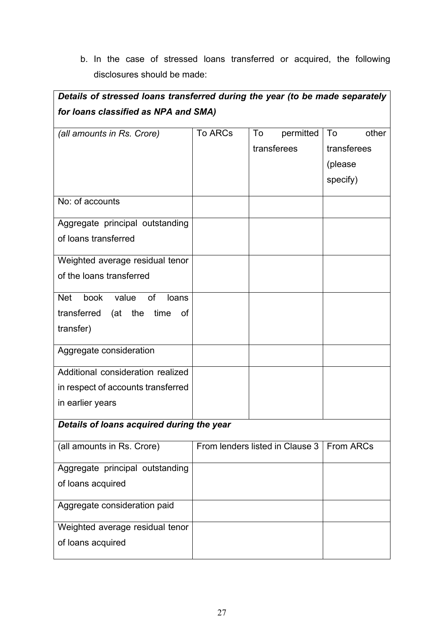b. In the case of stressed loans transferred or acquired, the following disclosures should be made:

| Details of stressed loans transferred during the year (to be made separately |                                 |                 |             |  |  |
|------------------------------------------------------------------------------|---------------------------------|-----------------|-------------|--|--|
| for loans classified as NPA and SMA)                                         |                                 |                 |             |  |  |
| (all amounts in Rs. Crore)                                                   | <b>To ARCs</b>                  | permitted<br>To | To<br>other |  |  |
|                                                                              |                                 | transferees     | transferees |  |  |
|                                                                              |                                 |                 | (please     |  |  |
|                                                                              |                                 |                 | specify)    |  |  |
| No: of accounts                                                              |                                 |                 |             |  |  |
| Aggregate principal outstanding                                              |                                 |                 |             |  |  |
| of loans transferred                                                         |                                 |                 |             |  |  |
| Weighted average residual tenor                                              |                                 |                 |             |  |  |
| of the loans transferred                                                     |                                 |                 |             |  |  |
| book<br>of<br><b>Net</b><br>value<br>loans                                   |                                 |                 |             |  |  |
| transferred<br>the time<br>(at<br>of                                         |                                 |                 |             |  |  |
| transfer)                                                                    |                                 |                 |             |  |  |
| Aggregate consideration                                                      |                                 |                 |             |  |  |
| Additional consideration realized                                            |                                 |                 |             |  |  |
| in respect of accounts transferred                                           |                                 |                 |             |  |  |
| in earlier years                                                             |                                 |                 |             |  |  |
| Details of loans acquired during the year                                    |                                 |                 |             |  |  |
| (all amounts in Rs. Crore)                                                   | From lenders listed in Clause 3 |                 | From ARCs   |  |  |
| Aggregate principal outstanding                                              |                                 |                 |             |  |  |
| of loans acquired                                                            |                                 |                 |             |  |  |
| Aggregate consideration paid                                                 |                                 |                 |             |  |  |
| Weighted average residual tenor                                              |                                 |                 |             |  |  |
| of loans acquired                                                            |                                 |                 |             |  |  |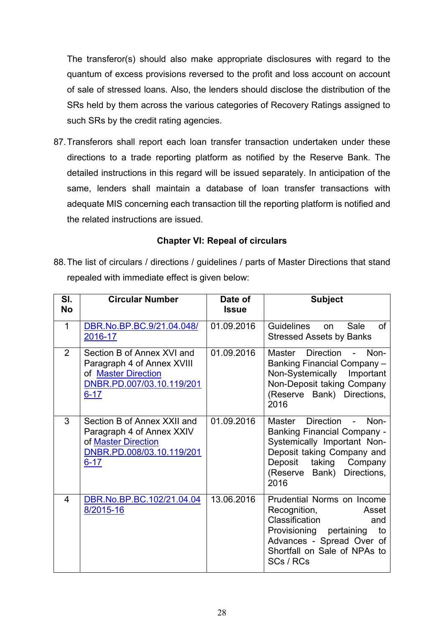The transferor(s) should also make appropriate disclosures with regard to the quantum of excess provisions reversed to the profit and loss account on account of sale of stressed loans. Also, the lenders should disclose the distribution of the SRs held by them across the various categories of Recovery Ratings assigned to such SRs by the credit rating agencies.

87.Transferors shall report each loan transfer transaction undertaken under these directions to a trade reporting platform as notified by the Reserve Bank. The detailed instructions in this regard will be issued separately. In anticipation of the same, lenders shall maintain a database of loan transfer transactions with adequate MIS concerning each transaction till the reporting platform is notified and the related instructions are issued.

#### **Chapter VI: Repeal of circulars**

88.The list of circulars / directions / guidelines / parts of Master Directions that stand repealed with immediate effect is given below:

| SI.<br><b>No</b> | <b>Circular Number</b>                                                                                                   | Date of<br><b>Issue</b> | <b>Subject</b>                                                                                                                                                                                |
|------------------|--------------------------------------------------------------------------------------------------------------------------|-------------------------|-----------------------------------------------------------------------------------------------------------------------------------------------------------------------------------------------|
| $\mathbf{1}$     | DBR.No.BP.BC.9/21.04.048/<br>2016-17                                                                                     | 01.09.2016              | Guidelines<br>Sale<br>of<br>on.<br><b>Stressed Assets by Banks</b>                                                                                                                            |
| $\mathcal{P}$    | Section B of Annex XVI and<br>Paragraph 4 of Annex XVIII<br>of Master Direction<br>DNBR.PD.007/03.10.119/201<br>$6 - 17$ | 01.09.2016              | Direction -<br>Master<br>Non-<br>Banking Financial Company -<br>Non-Systemically<br>Important<br>Non-Deposit taking Company<br>(Reserve Bank) Directions,<br>2016                             |
| 3                | Section B of Annex XXII and<br>Paragraph 4 of Annex XXIV<br>of Master Direction<br>DNBR.PD.008/03.10.119/201<br>$6 - 17$ | 01.09.2016              | Master Direction -<br>Non-<br><b>Banking Financial Company -</b><br>Systemically Important Non-<br>Deposit taking Company and<br>Deposit taking Company<br>(Reserve Bank) Directions,<br>2016 |
| 4                | DBR.No.BP.BC.102/21.04.04<br>8/2015-16                                                                                   | 13.06.2016              | Prudential Norms on Income<br>Recognition,<br>Asset<br>Classification<br>and<br>Provisioning pertaining<br>to<br>Advances - Spread Over of<br>Shortfall on Sale of NPAs to<br>SCs / RCs       |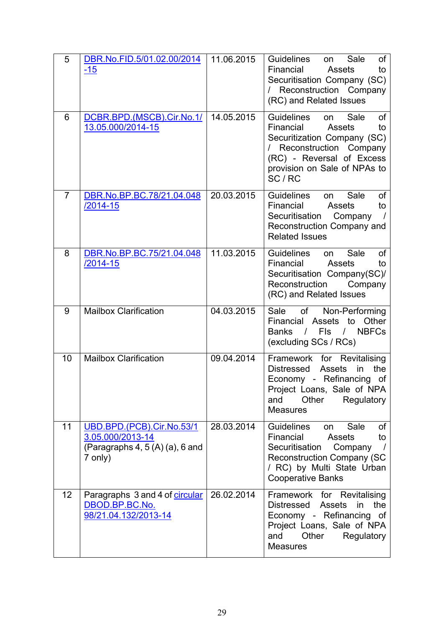| 5              | DBR.No.FID.5/01.02.00/2014<br>$-15$                                                          | 11.06.2015 | <b>Guidelines</b><br>Sale<br>οf<br>on.<br>Financial<br>Assets<br>to<br>Securitisation Company (SC)<br>/ Reconstruction Company<br>(RC) and Related Issues                                           |
|----------------|----------------------------------------------------------------------------------------------|------------|-----------------------------------------------------------------------------------------------------------------------------------------------------------------------------------------------------|
| 6              | DCBR.BPD.(MSCB).Cir.No.1/<br>13.05.000/2014-15                                               | 14.05.2015 | <b>Guidelines</b><br>Sale<br>οf<br>on<br>Financial<br>Assets<br>to<br>Securitization Company (SC)<br>/ Reconstruction Company<br>(RC) - Reversal of Excess<br>provision on Sale of NPAs to<br>SC/RC |
| $\overline{7}$ | DBR.No.BP.BC.78/21.04.048<br>/2014-15                                                        | 20.03.2015 | <b>Guidelines</b><br>Sale<br>of<br>on<br>Financial<br><b>Assets</b><br>to<br>Securitisation Company<br>Reconstruction Company and<br><b>Related Issues</b>                                          |
| 8              | DBR.No.BP.BC.75/21.04.048<br>/2014-15                                                        | 11.03.2015 | Guidelines<br>Sale<br>οf<br>on<br>Financial<br><b>Assets</b><br>to<br>Securitisation Company(SC)/<br>Reconstruction<br>Company<br>(RC) and Related Issues                                           |
| 9              | <b>Mailbox Clarification</b>                                                                 | 04.03.2015 | of<br>Sale<br>Non-Performing<br>Other<br>Financial<br>Assets<br>to<br><b>Banks</b><br>Fls<br><b>NBFCs</b><br>$\sqrt{ }$<br>$\left  \right $<br>(excluding SCs / RCs)                                |
| 10             | <b>Mailbox Clarification</b>                                                                 | 09.04.2014 | Framework for Revitalising<br>the<br>Distressed<br><b>Assets</b><br>in<br>Economy - Refinancing<br>of<br>Project Loans, Sale of NPA<br>Other<br>and<br>Regulatory<br><b>Measures</b>                |
| 11             | UBD.BPD.(PCB).Cir.No.53/1<br>3.05.000/2013-14<br>(Paragraphs $4, 5(A)$ (a), 6 and<br>7 only) | 28.03.2014 | Guidelines<br>Sale<br>οf<br>on<br>Financial<br>Assets<br>to<br>Securitisation<br>Company<br><b>Reconstruction Company (SC</b><br>/ RC) by Multi State Urban<br><b>Cooperative Banks</b>             |
| 12             | Paragraphs 3 and 4 of circular<br>DBOD.BP.BC.No.<br>98/21.04.132/2013-14                     | 26.02.2014 | Framework for Revitalising<br><b>Distressed</b><br>the<br><b>Assets</b><br>in<br>Economy - Refinancing of<br>Project Loans, Sale of NPA<br>Other<br>and<br>Regulatory<br><b>Measures</b>            |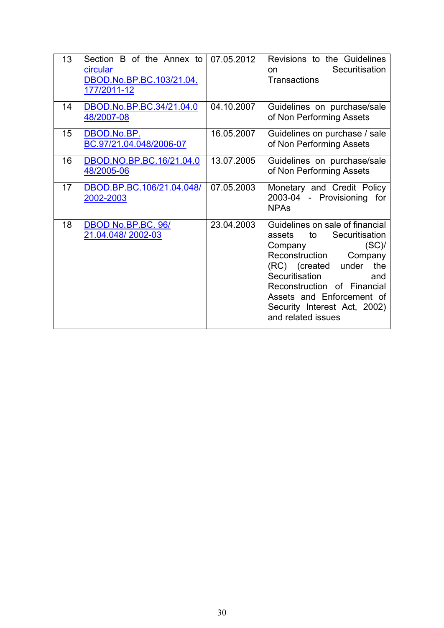| 13 | Section B of the Annex to<br>circular<br>DBOD.No.BP.BC.103/21.04.<br>177/2011-12 | 07.05.2012 | Revisions to the Guidelines<br>Securitisation<br>on.<br><b>Transactions</b>                                                                                                                                                                                                             |
|----|----------------------------------------------------------------------------------|------------|-----------------------------------------------------------------------------------------------------------------------------------------------------------------------------------------------------------------------------------------------------------------------------------------|
| 14 | DBOD.No.BP.BC.34/21.04.0<br>48/2007-08                                           | 04.10.2007 | Guidelines on purchase/sale<br>of Non Performing Assets                                                                                                                                                                                                                                 |
| 15 | DBOD.No.BP.<br>BC.97/21.04.048/2006-07                                           | 16.05.2007 | Guidelines on purchase / sale<br>of Non Performing Assets                                                                                                                                                                                                                               |
| 16 | DBOD.NO.BP.BC.16/21.04.0<br>48/2005-06                                           | 13.07.2005 | Guidelines on purchase/sale<br>of Non Performing Assets                                                                                                                                                                                                                                 |
| 17 | DBOD.BP.BC.106/21.04.048/<br>2002-2003                                           | 07.05.2003 | Monetary and Credit Policy<br>2003-04 - Provisioning for<br><b>NPAs</b>                                                                                                                                                                                                                 |
| 18 | DBOD No.BP.BC. 96/<br>21.04.048/2002-03                                          | 23.04.2003 | Guidelines on sale of financial<br>Securitisation<br>assets to<br>Company<br>(SC)<br>Reconstruction<br>Company<br>the<br>(RC) (created under<br>Securitisation<br>and<br>Reconstruction of Financial<br>Assets and Enforcement of<br>Security Interest Act, 2002)<br>and related issues |